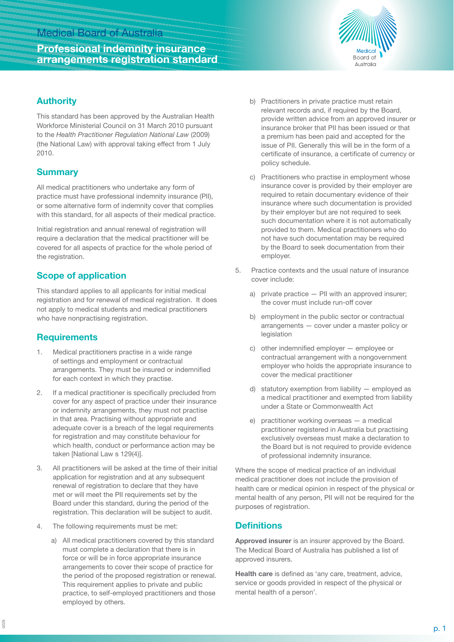## Medical Board of Australia

# **Professional indemnity insurance arrangements registration standard**



#### **Authority**

This standard has been approved by the Australian Health Workforce Ministerial Council on 31 March 2010 pursuant to the *Health Practitioner Regulation National Law* (2009) (the National Law) with approval taking effect from 1 July 2010.

#### **Summary**

All medical practitioners who undertake any form of practice must have professional indemnity insurance (PII), or some alternative form of indemnity cover that complies with this standard, for all aspects of their medical practice.

Initial registration and annual renewal of registration will require a declaration that the medical practitioner will be covered for all aspects of practice for the whole period of the registration.

## **Scope of application**

This standard applies to all applicants for initial medical registration and for renewal of medical registration. It does not apply to medical students and medical practitioners who have nonpractising registration.

## **Requirements**

- 1. Medical practitioners practise in a wide range of settings and employment or contractual arrangements. They must be insured or indemnified for each context in which they practise.
- 2. If a medical practitioner is specifically precluded from cover for any aspect of practice under their insurance or indemnity arrangements, they must not practise in that area. Practising without appropriate and adequate cover is a breach of the legal requirements for registration and may constitute behaviour for which health, conduct or performance action may be taken [National Law s 129(4)].
- 3. All practitioners will be asked at the time of their initial application for registration and at any subsequent renewal of registration to declare that they have met or will meet the PII requirements set by the Board under this standard, during the period of the registration. This declaration will be subject to audit.
- 4. The following requirements must be met:
	- a) All medical practitioners covered by this standard must complete a declaration that there is in force or will be in force appropriate insurance arrangements to cover their scope of practice for the period of the proposed registration or renewal. This requirement applies to private and public practice, to self-employed practitioners and those employed by others.
- b) Practitioners in private practice must retain relevant records and, if required by the Board, provide written advice from an approved insurer or insurance broker that PII has been issued or that a premium has been paid and accepted for the issue of PII. Generally this will be in the form of a certificate of insurance, a certificate of currency or policy schedule.
- c) Practitioners who practise in employment whose insurance cover is provided by their employer are required to retain documentary evidence of their insurance where such documentation is provided by their employer but are not required to seek such documentation where it is not automatically provided to them. Medical practitioners who do not have such documentation may be required by the Board to seek documentation from their employer.
- 5. Practice contexts and the usual nature of insurance cover include:
	- a) private practice PII with an approved insurer; the cover must include run-off cover
	- b) employment in the public sector or contractual arrangements — cover under a master policy or legislation
	- c) other indemnified employer employee or contractual arrangement with a nongovernment employer who holds the appropriate insurance to cover the medical practitioner
	- d) statutory exemption from liability  $-$  employed as a medical practitioner and exempted from liability under a State or Commonwealth Act
	- e) practitioner working overseas a medical practitioner registered in Australia but practising exclusively overseas must make a declaration to the Board but is not required to provide evidence of professional indemnity insurance.

Where the scope of medical practice of an individual medical practitioner does not include the provision of health care or medical opinion in respect of the physical or mental health of any person, PII will not be required for the purposes of registration.

## **Definitions**

**Approved insurer** is an insurer approved by the Board. The Medical Board of Australia has published a list of approved insurers.

**Health care** is defined as 'any care, treatment, advice, service or goods provided in respect of the physical or mental health of a person'.